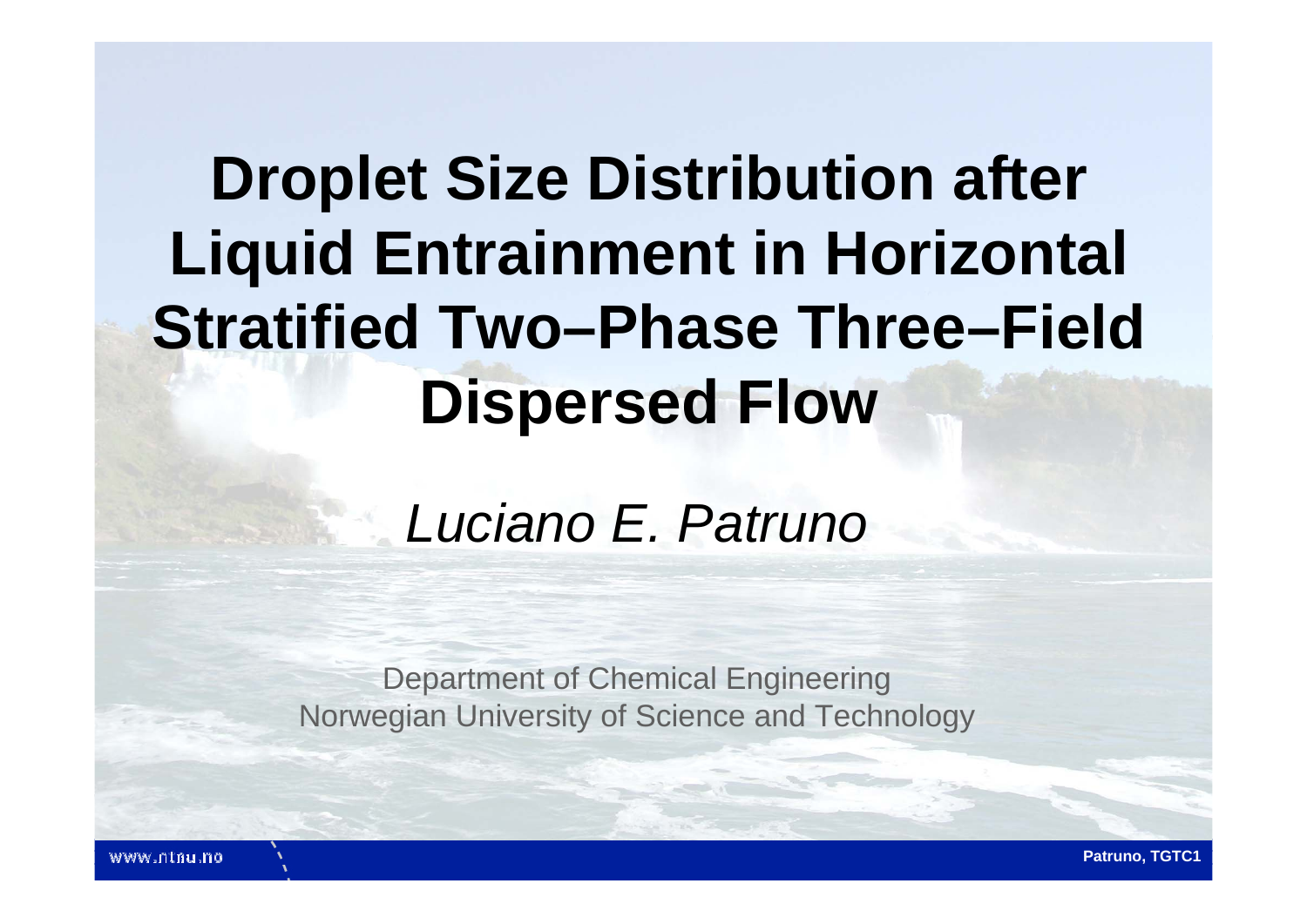# **Droplet Size Distribution after Liquid Entrainment in Horizontal Stratified Two–Phase Three–Field Dispersed Flow**

## *Luciano E. Patruno*

Department of Chemical Engineering Norwegian University of Science and Technology

www.ntnu.no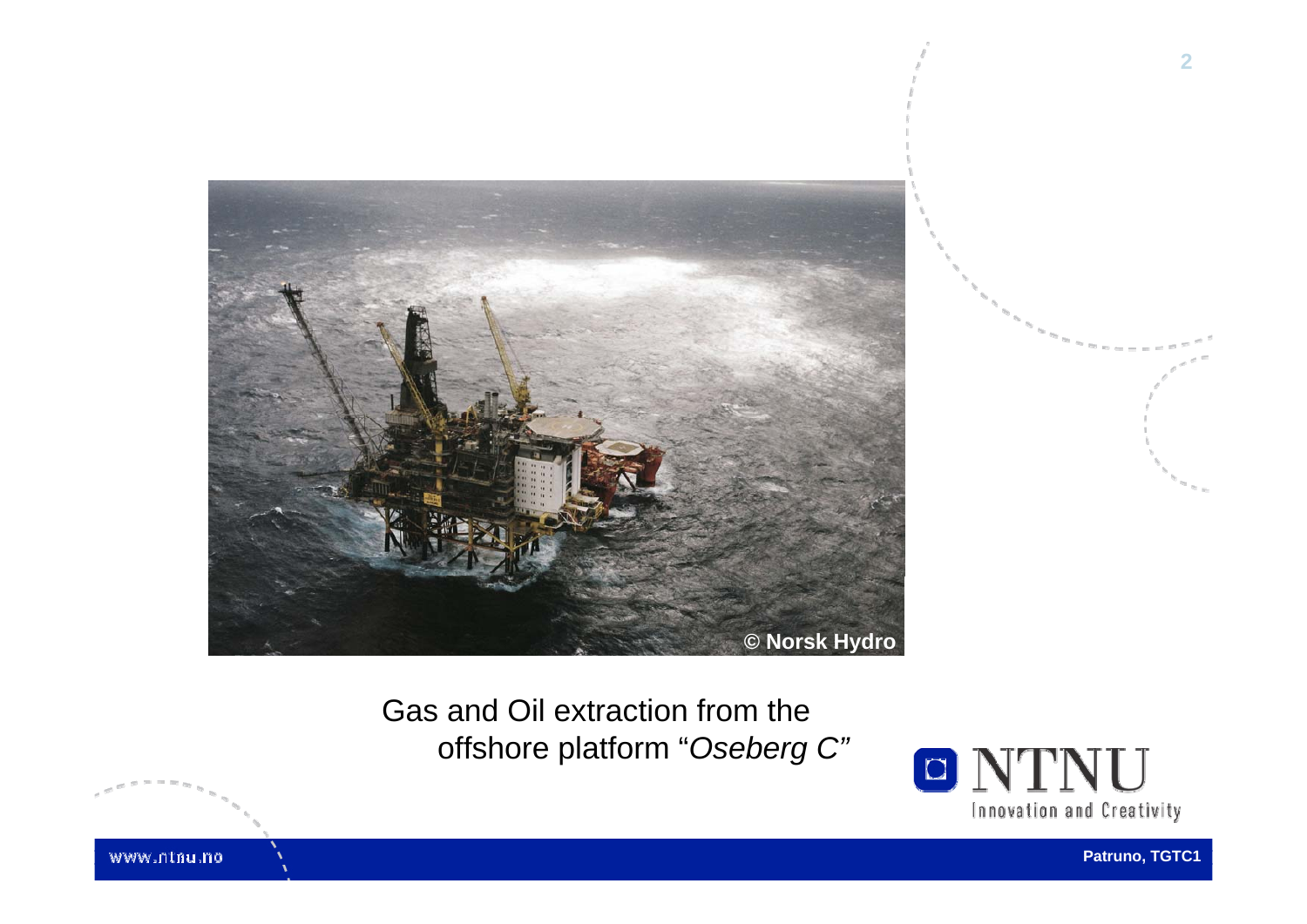

Gas and Oil extraction from the offshore platform "*Oseberg C"*



www.ntnu.no

**Patruno, TGTC1**

**2**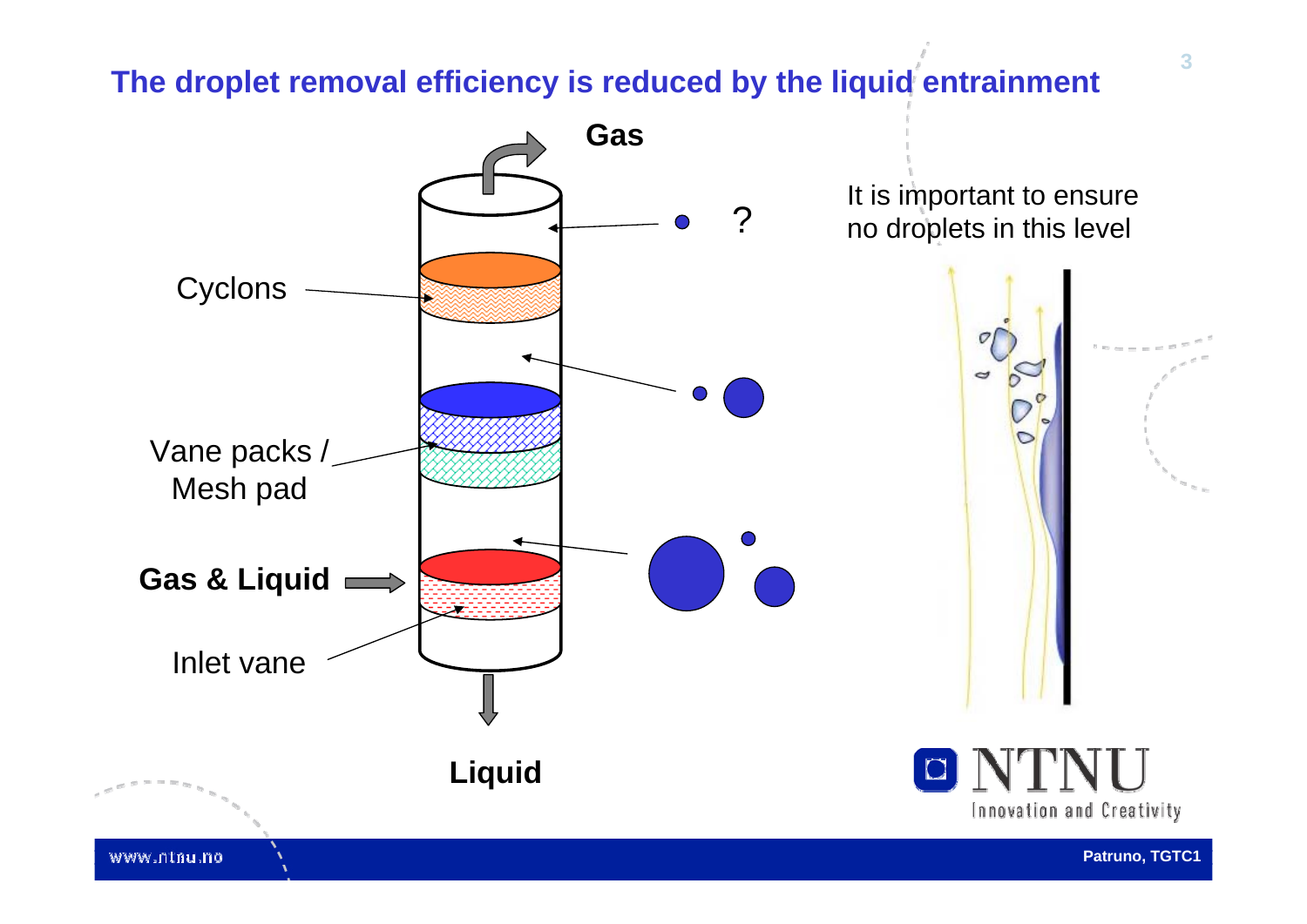#### **The droplet removal efficiency is reduced by the liquid entrainment**

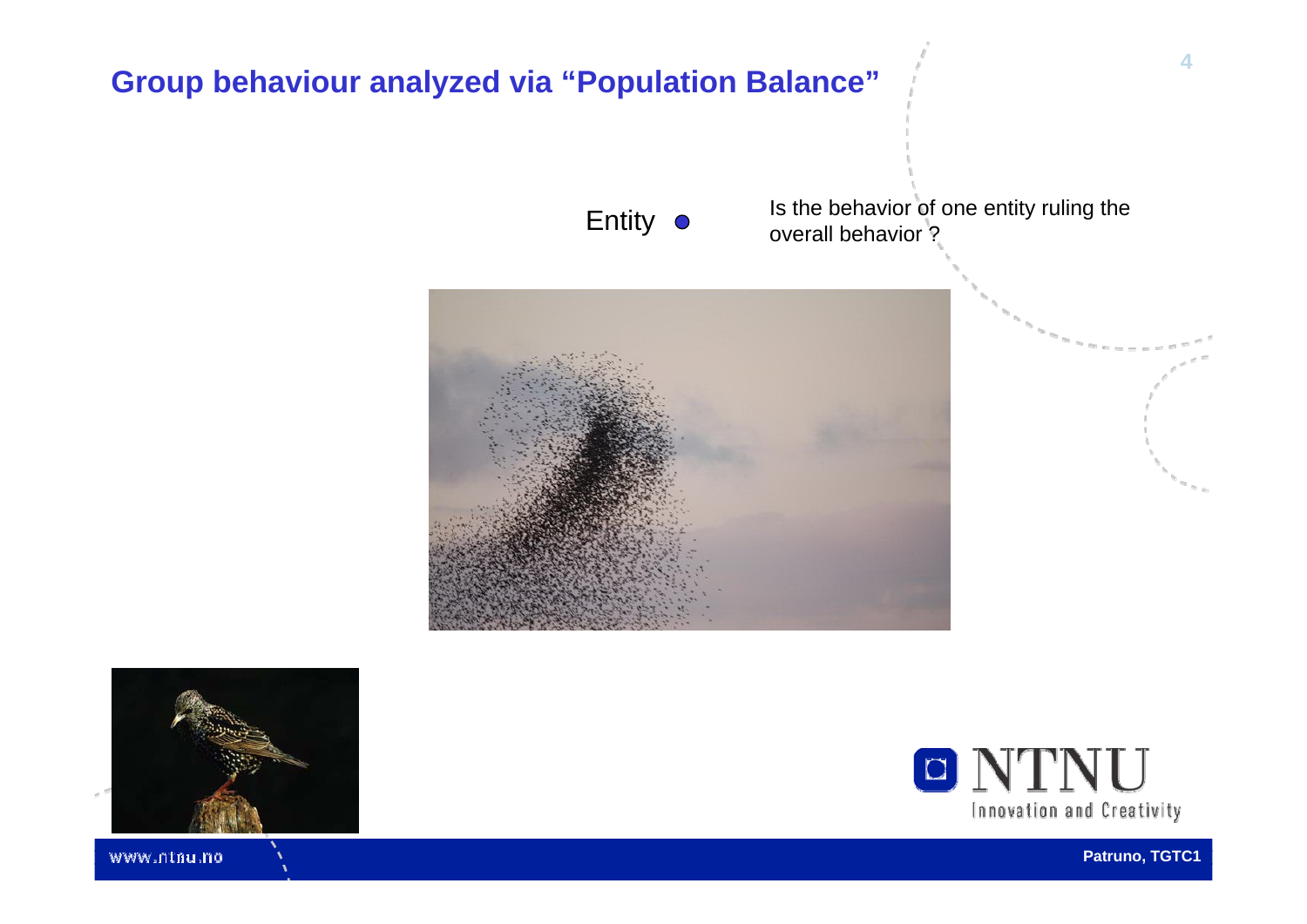

Innovation and Creativity

www.ntnu.no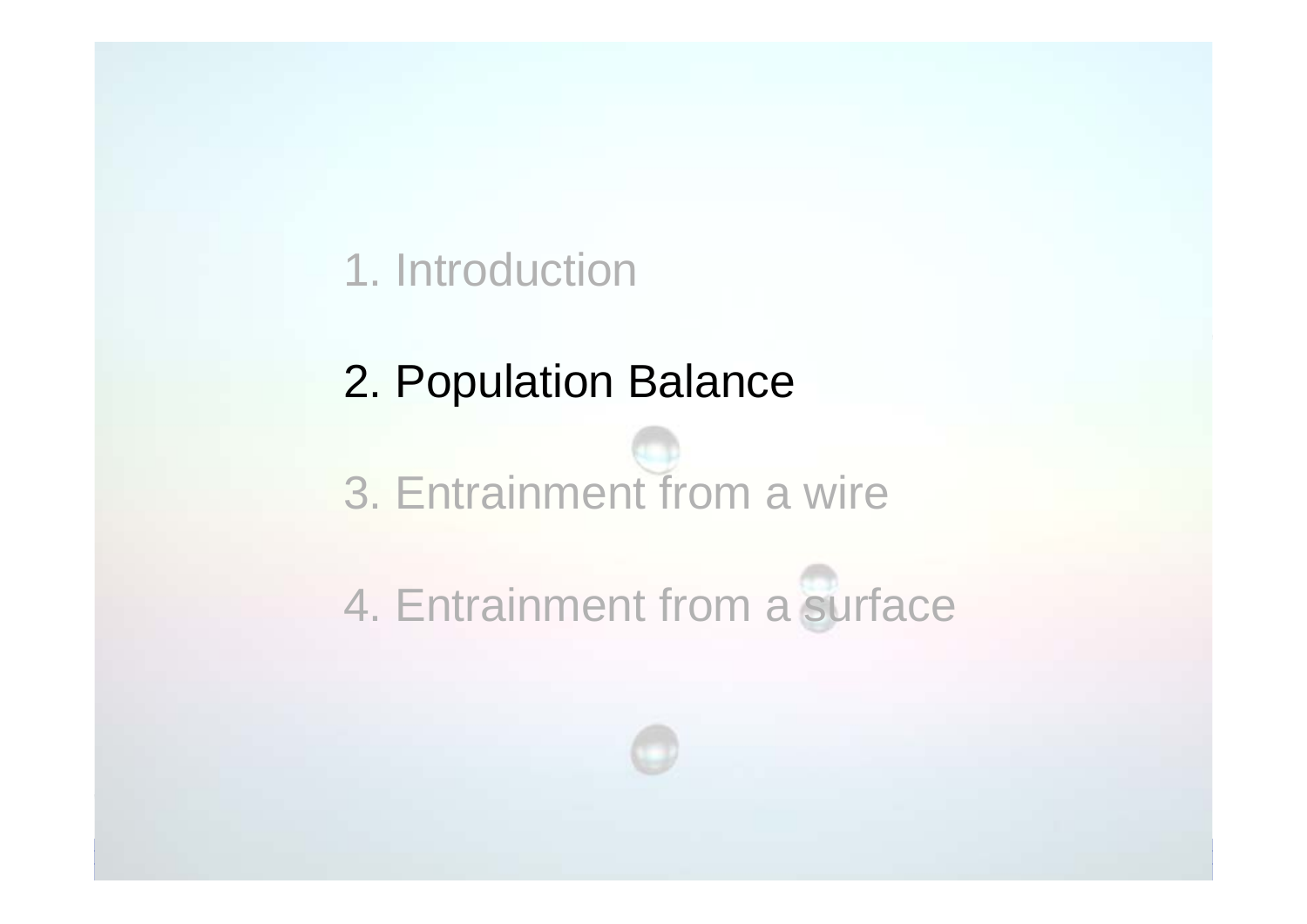### 1. Introduction

### 2. Population Balance

3. Entrainment from a wire

4. Entrainment from a surface

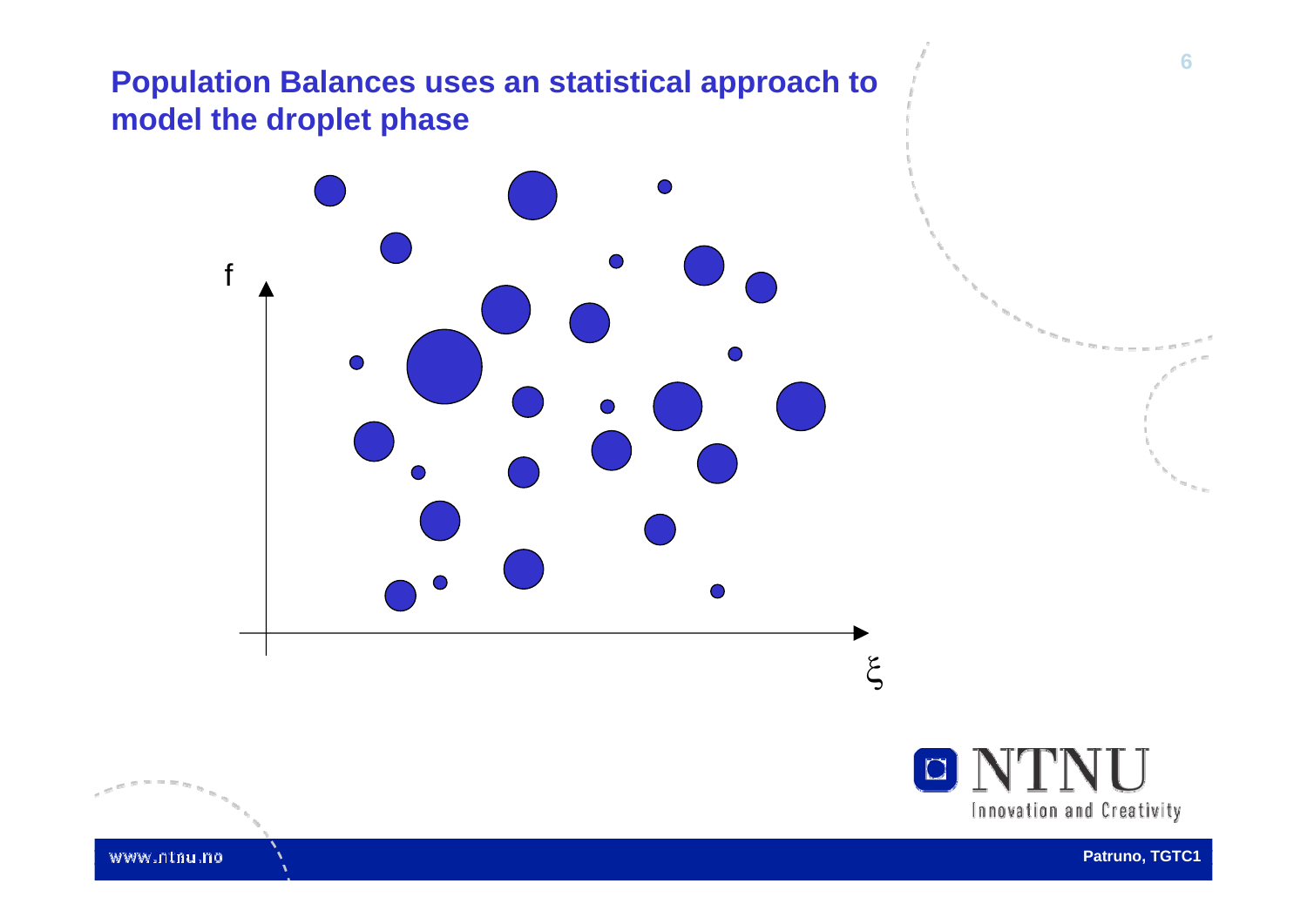#### **Population Balances uses an statistical approach to model the droplet phase**





**Patruno, TGTC1**

**6**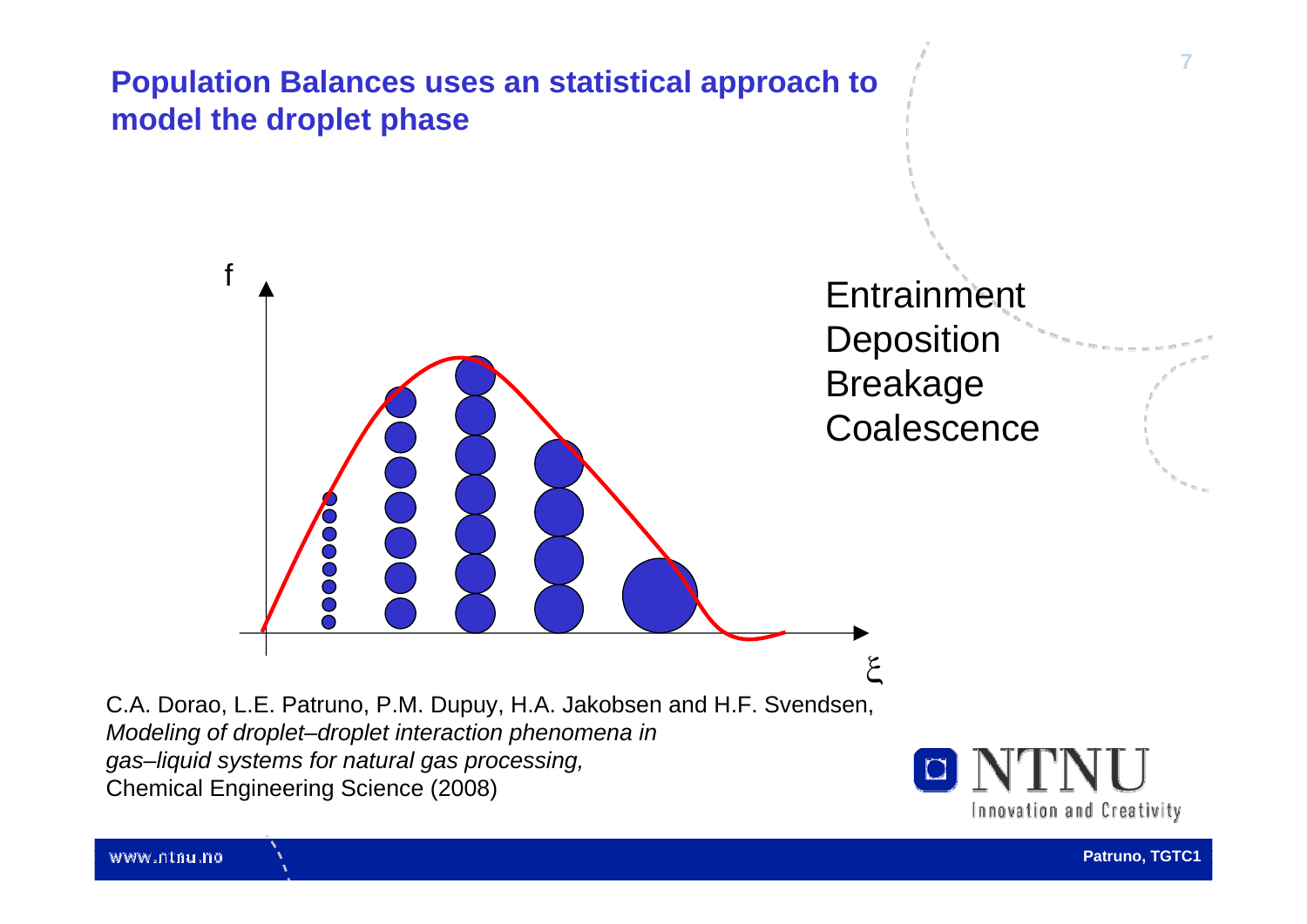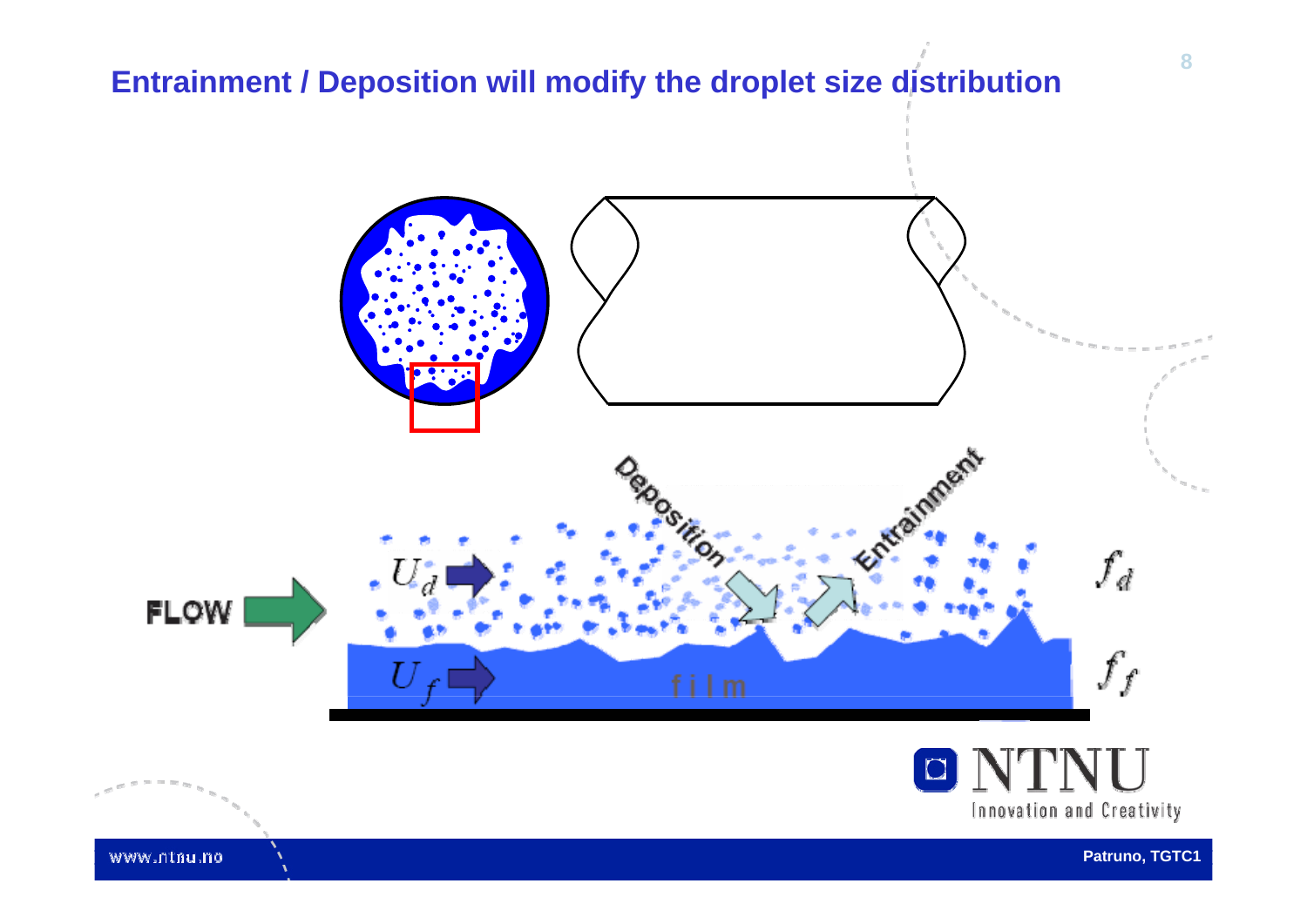#### **Entrainment / Deposition will modify the droplet size distribution**



www.ntnu.no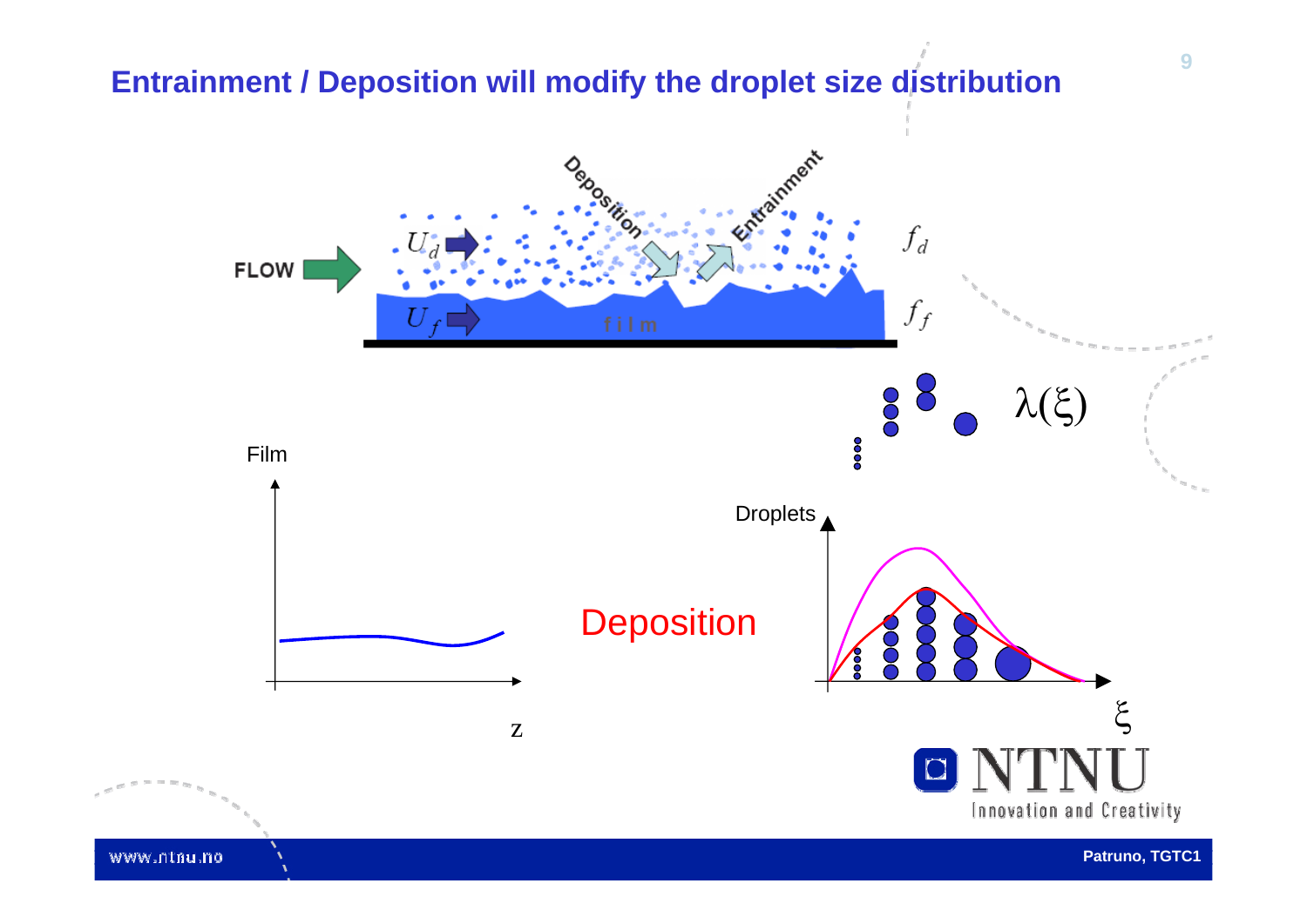## **9Entrainment / Deposition will modify the droplet size distribution**Arainment

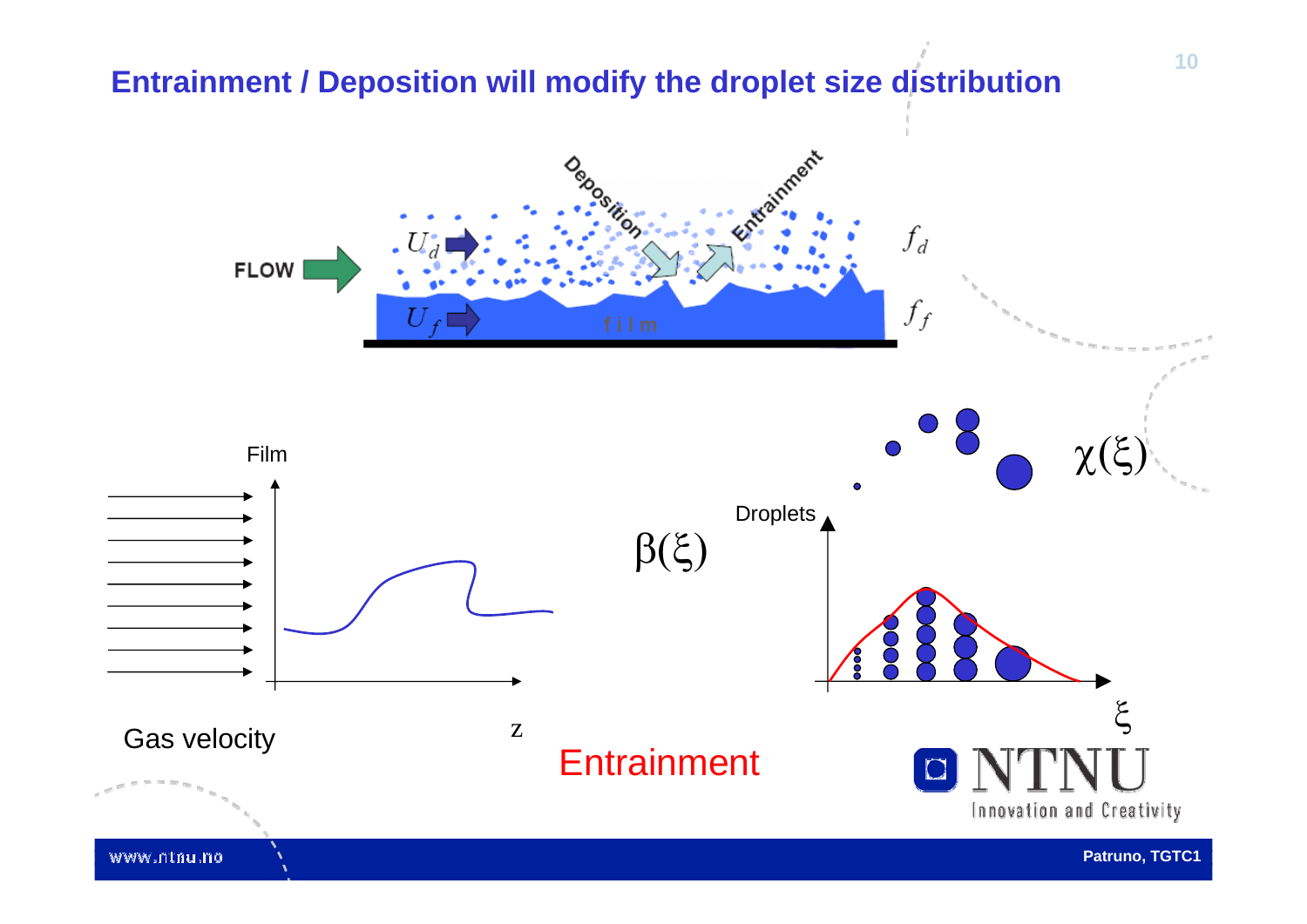#### **Entrainment / Deposition will modify the droplet size distribution**

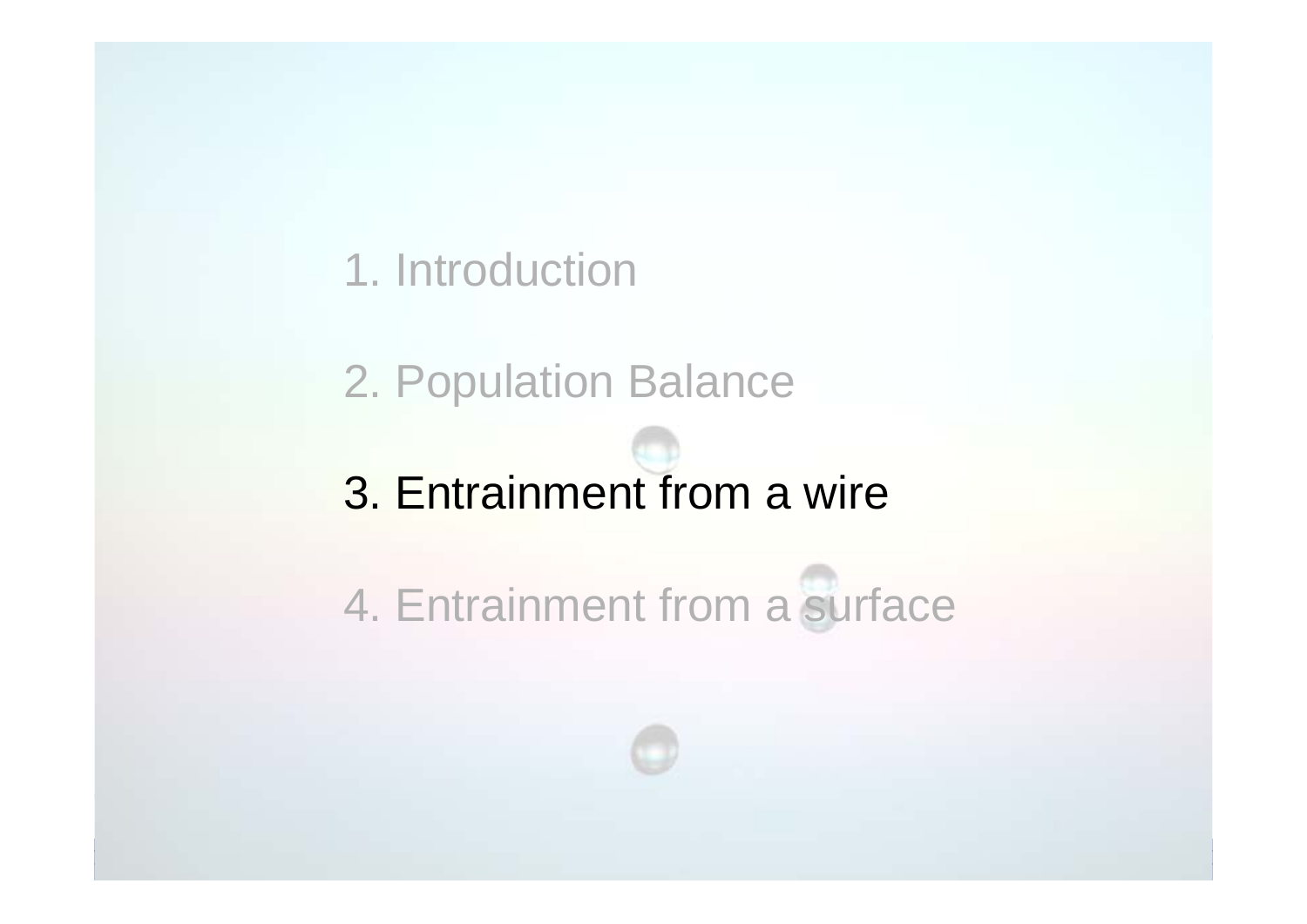### 1. Introduction

2. Population Balance

## 3. Entrainment from a wire

4. Entrainment from a surface

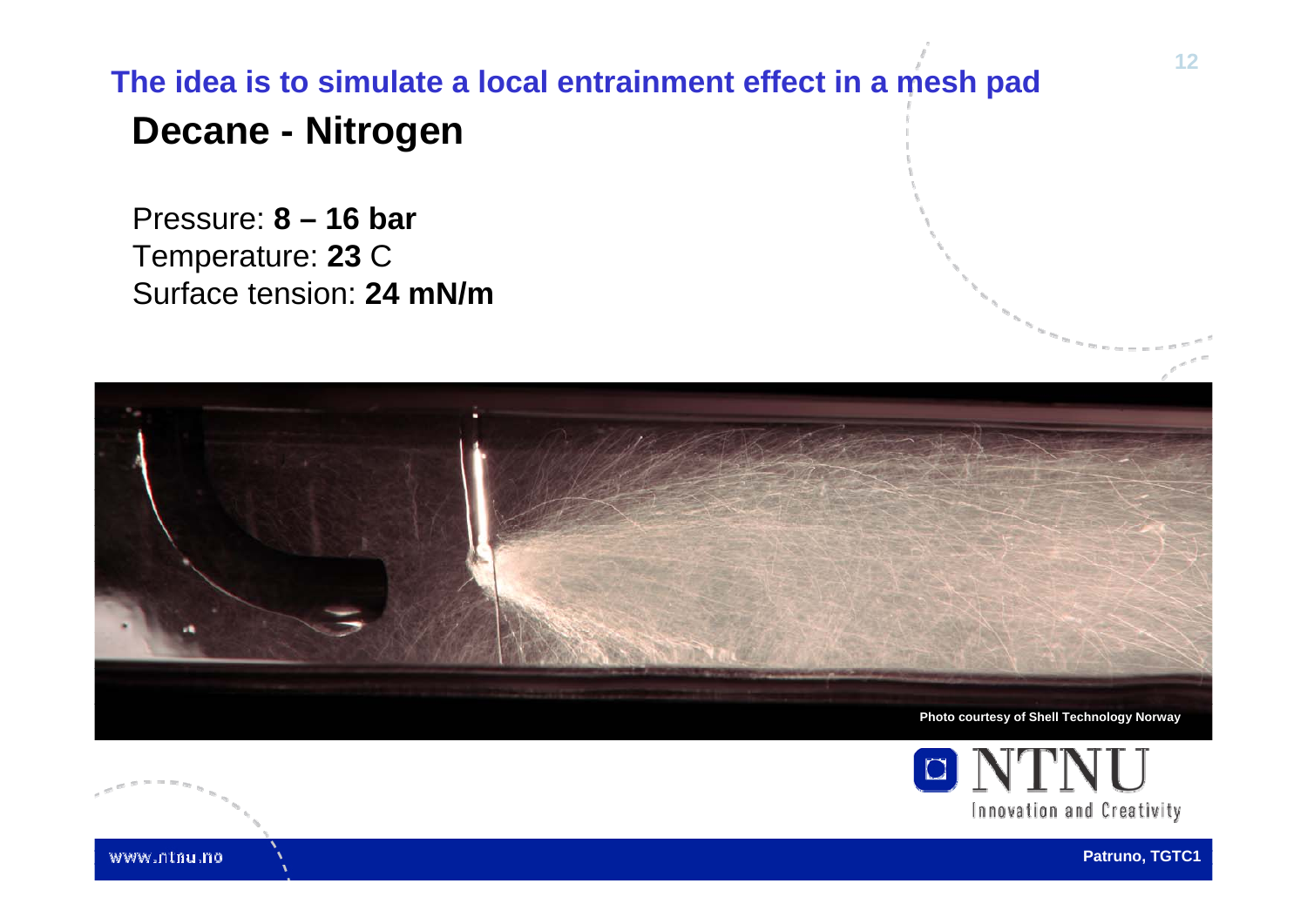### **Decane - Nitrogen The idea is to simulate a local entrainment effect in a mesh pad**

Pressure: **8 – 16 bar** Temperature: **23** C Surface tension: **24 mN/m**





www.ntnu.no

**Patruno, TGTC1**

**12**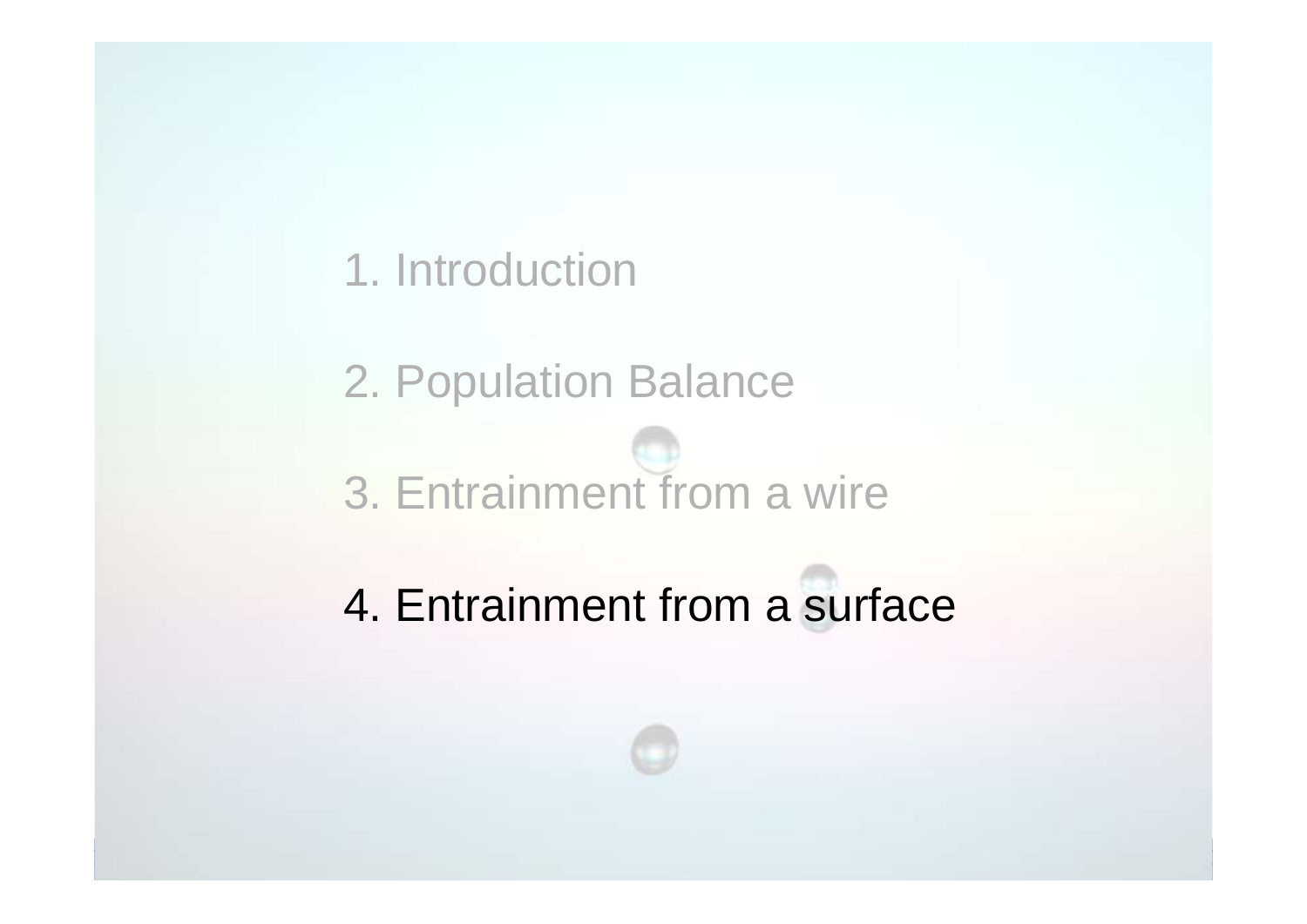1. Introduction

2. Population Balance 3. Entrainment from a wire

4. Entrainment from a surface

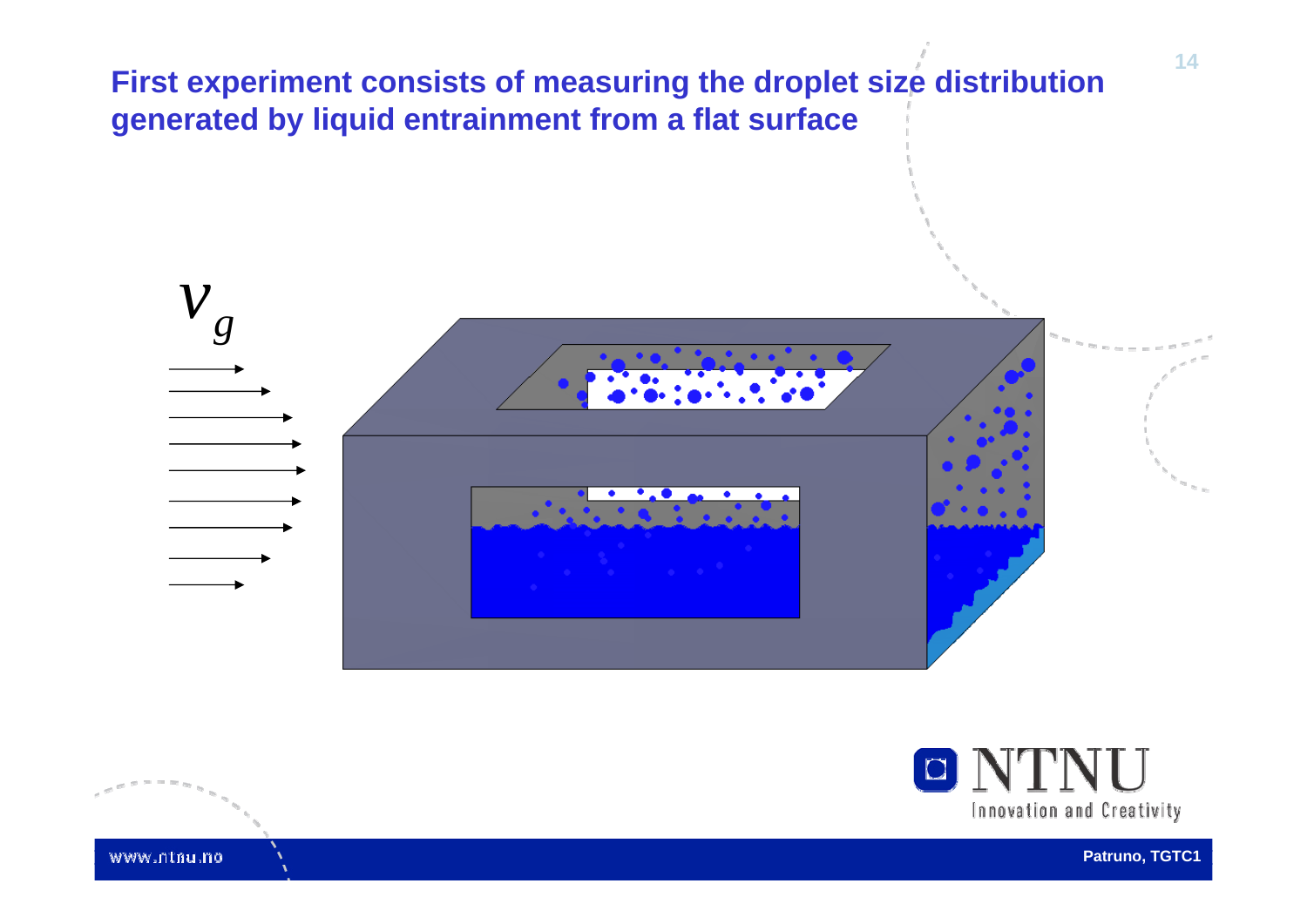

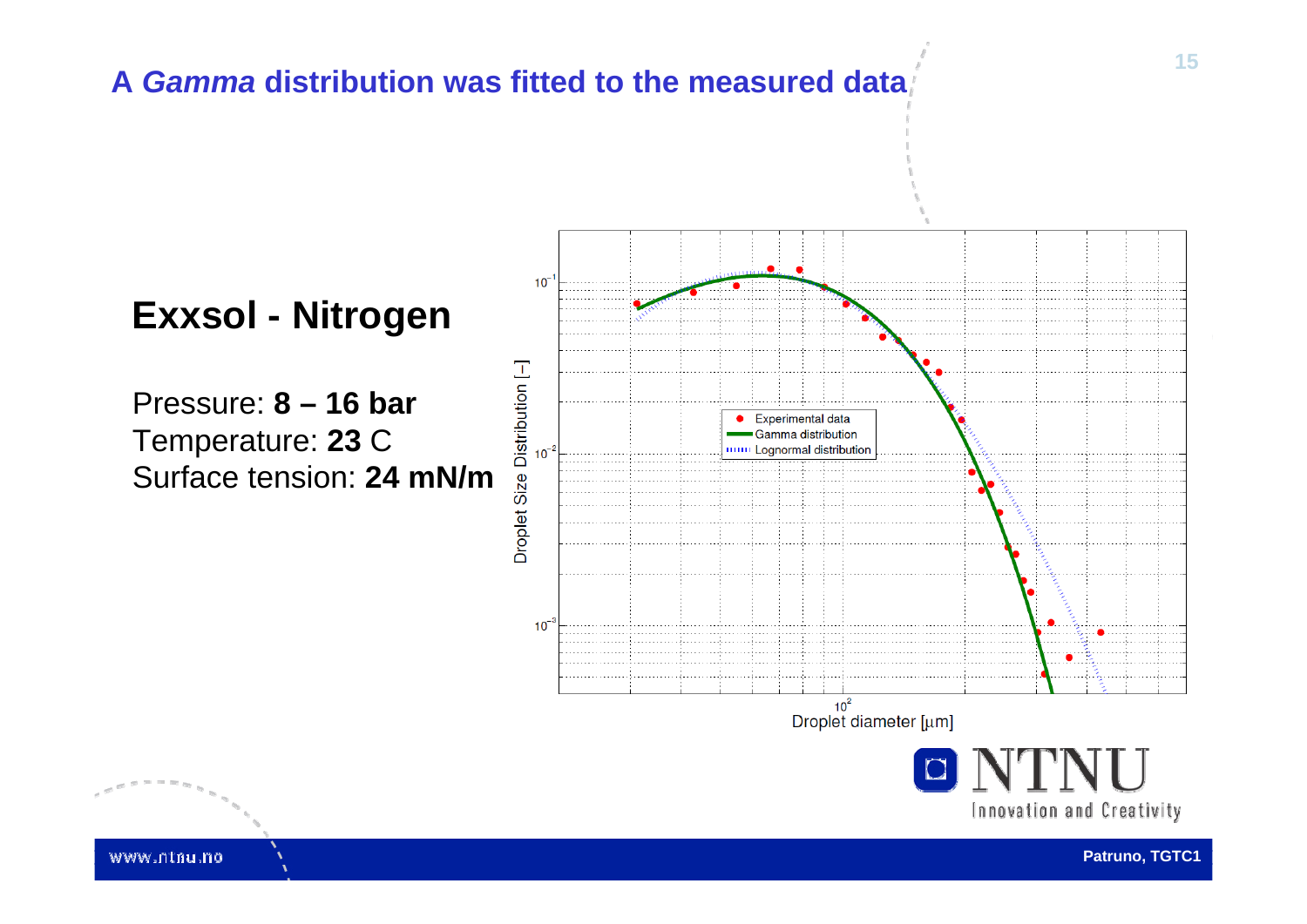#### **A** *Gamma* **distribution was fitted to the measured data**

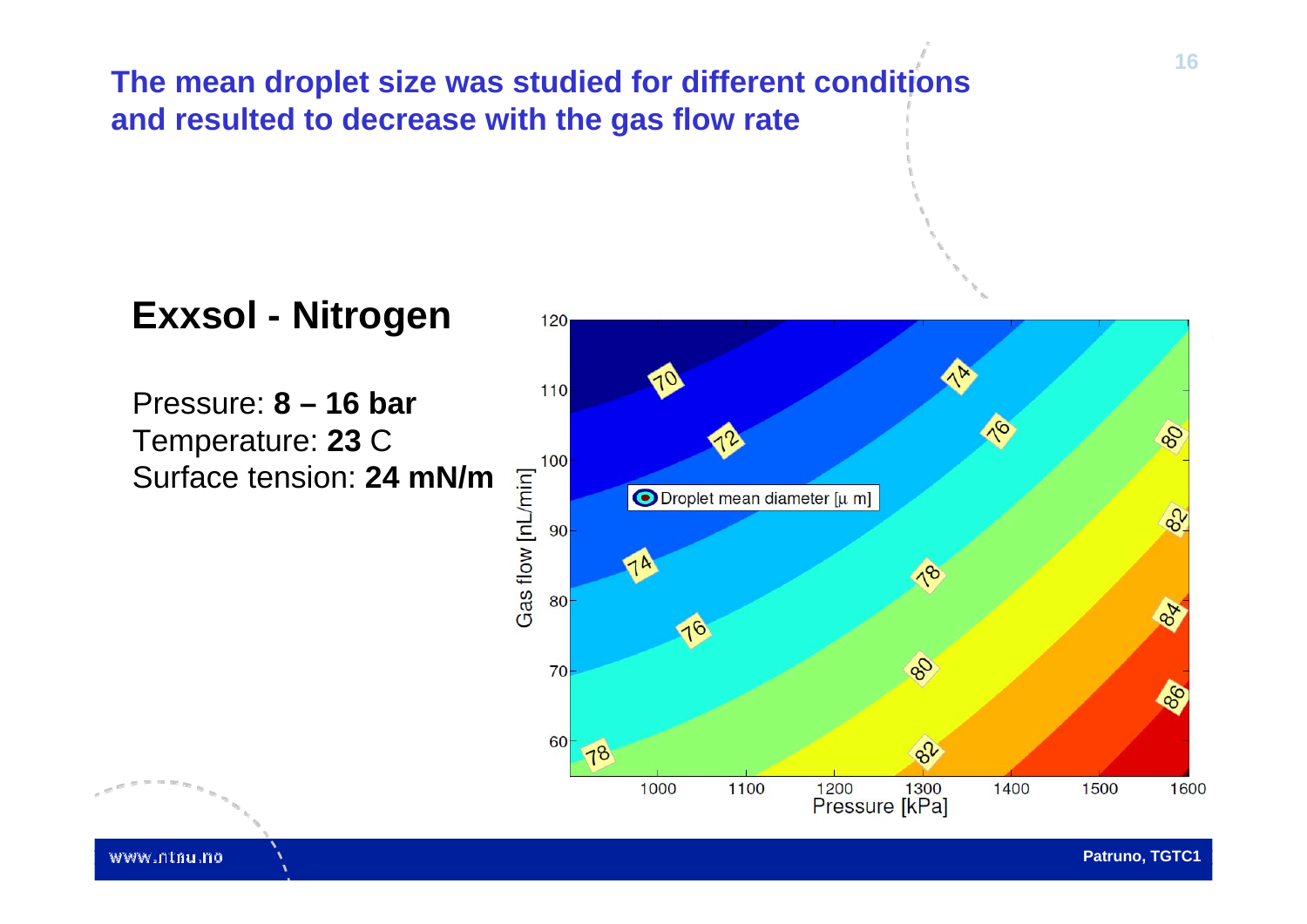**The mean droplet size was studied for different conditions and resulted to decrease with the gas flow rate**

### **Exxsol - Nitrogen**

Pressure: **8 – 16 bar**Temperature: **23** C Surface tension: **24 mN/m**

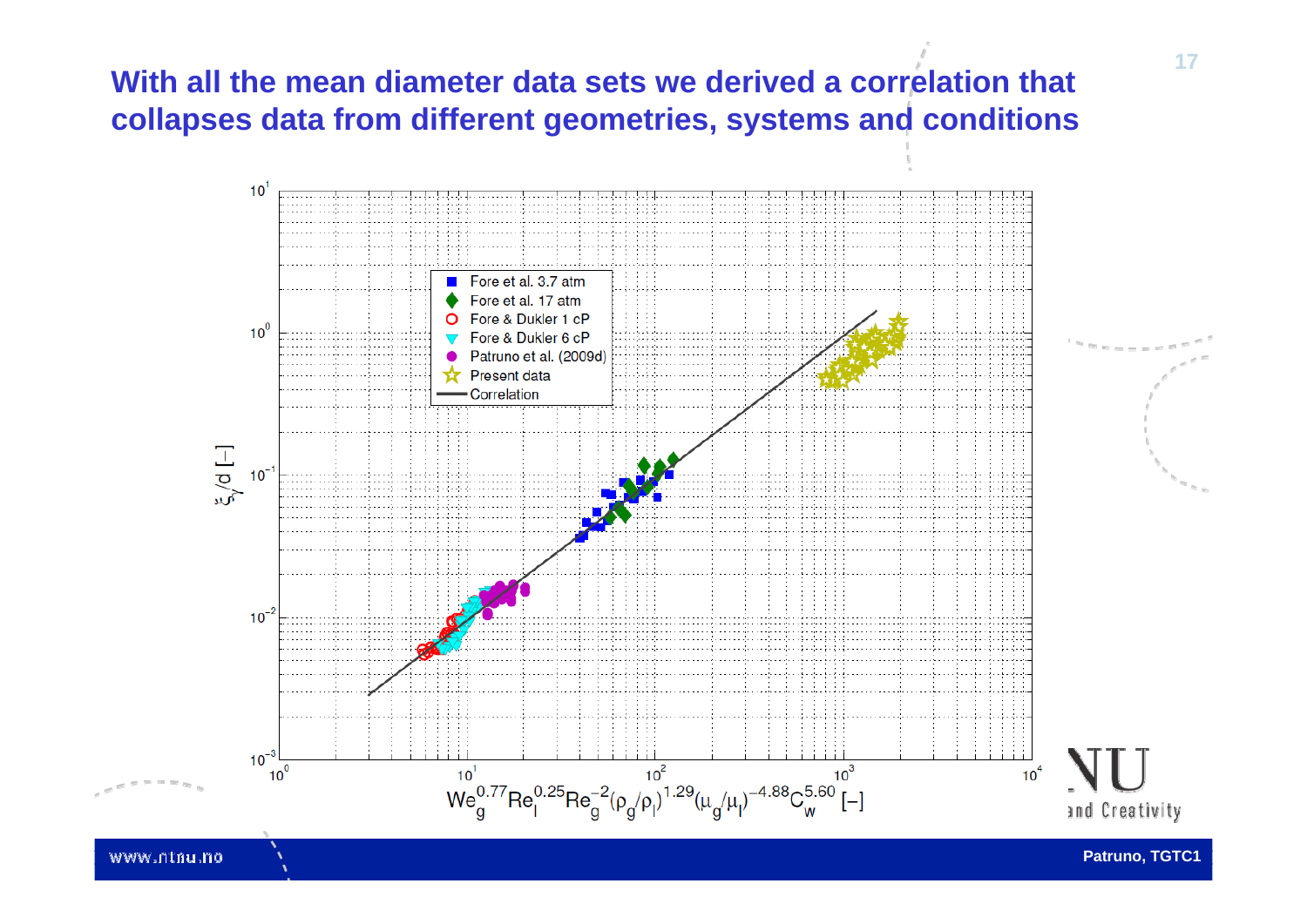#### **With all the mean diameter data sets we derived a correlation that collapses data from different geometries, systems and conditions**